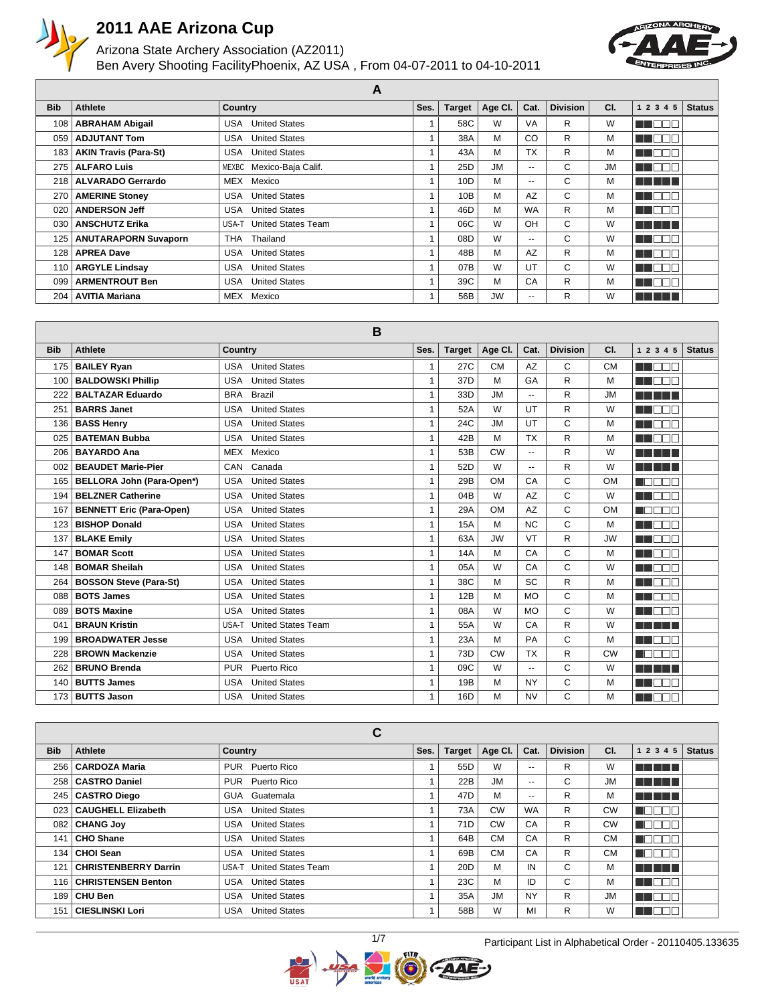

#### Arizona State Archery Association (AZ2011) Ben Avery Shooting Facility Phoenix, AZ USA , From 04-07-2011 to 04-10-2011



|                  |                              | . .                                |      |                 |           |                          |                 |           |               |               |
|------------------|------------------------------|------------------------------------|------|-----------------|-----------|--------------------------|-----------------|-----------|---------------|---------------|
| <b>Bib</b>       | Athlete                      | <b>Country</b>                     | Ses. | <b>Target</b>   | Age CI.   | Cat.                     | <b>Division</b> | CI.       | 1 2 3 4 5     | <b>Status</b> |
| 108              | <b>ABRAHAM Abigail</b>       | <b>United States</b><br>USA        |      | 58C             | W         | VA                       | R               | W         | TEN           |               |
| 059              | <b>ADJUTANT Tom</b>          | <b>United States</b><br>USA        |      | 38A             | М         | CO                       | R               | м         | H F           |               |
| 183              | <b>AKIN Travis (Para-St)</b> | <b>USA</b> United States           |      | 43A             | М         | <b>TX</b>                | R               | м         | N NA          |               |
| 275              | <b>ALFARO Luis</b>           | MEXBC Mexico-Baja Calif.           |      | 25 <sub>D</sub> | <b>JM</b> | $\overline{\phantom{a}}$ | C               | <b>JM</b> | TEN           |               |
| 218 <sup>1</sup> | <b>ALVARADO Gerrardo</b>     | MEX Mexico                         |      | 10D             | M         | $\overline{\phantom{a}}$ | C               | м         | n di Titolo   |               |
| 270              | <b>AMERINE Stoney</b>        | <b>United States</b><br>USA        |      | 10B             | М         | AZ                       | C               | м         | N N<br>┐г     |               |
| 020              | <b>ANDERSON Jeff</b>         | <b>United States</b><br>USA        |      | 46D             | M         | <b>WA</b>                | R               | м         | T FIT<br>- II |               |
| 030              | <b>ANSCHUTZ Erika</b>        | USA-T United States Team           |      | 06C             | W         | OH                       | C               | W         | - 1 - 1 - 1   |               |
| 125              | <b>ANUTARAPORN Suvaporn</b>  | Thailand<br>THA                    |      | 08D             | W         | $\overline{\phantom{a}}$ | C               | W         | N NA<br>╖     |               |
| 128              | <b>APREA Dave</b>            | <b>USA</b><br><b>United States</b> |      | 48B             | M         | AZ                       | R               | м         | T F F F       |               |
| 110              | <b>ARGYLE Lindsay</b>        | <b>United States</b><br>USA        |      | 07B             | W         | UT                       | C               | W         | T E F         |               |
| 099              | <b>ARMENTROUT Ben</b>        | <b>United States</b><br>USA        |      | 39C             | M         | CA                       | R               | м         | N NA          |               |
| 204              | <b>AVITIA Mariana</b>        | MEX<br>Mexico                      |      | 56B             | <b>JW</b> | $\overline{\phantom{a}}$ | R               | W         |               |               |

**A**

| <b>Bib</b> | <b>Athlete</b>                  | <b>Country</b>                     | Ses.         | <b>Target</b> | Age CI.   | Cat.                     | <b>Division</b> | CI.       | 1 2 3 4 5                                   | <b>Status</b> |
|------------|---------------------------------|------------------------------------|--------------|---------------|-----------|--------------------------|-----------------|-----------|---------------------------------------------|---------------|
| 175        | <b>BAILEY Ryan</b>              | <b>United States</b><br>USA        | 1            | 27C           | <b>CM</b> | <b>AZ</b>                | C               | <b>CM</b> | ma mar                                      |               |
|            |                                 | <b>United States</b><br>USA        | $\mathbf{1}$ | 37D           | M         | GA                       | R               | M         |                                             |               |
| 100        | <b>BALDOWSKI Phillip</b>        |                                    |              |               |           |                          |                 |           | n na m                                      |               |
| 222        | <b>BALTAZAR Eduardo</b>         | <b>Brazil</b><br><b>BRA</b>        | $\mathbf{1}$ | 33D           | <b>JM</b> | $\overline{\phantom{a}}$ | R               | <b>JM</b> | <b>.</b>                                    |               |
| 251        | <b>BARRS Janet</b>              | <b>United States</b><br><b>USA</b> | $\mathbf{1}$ | 52A           | W         | UT                       | R               | W         | ┒<br>M DI T                                 |               |
| 136        | <b>BASS Henry</b>               | <b>United States</b><br><b>USA</b> | $\mathbf{1}$ | 24C           | <b>JM</b> | UT                       | C               | M         | T E FI<br>┐г                                |               |
| 025        | <b>BATEMAN Bubba</b>            | <b>United States</b><br><b>USA</b> | $\mathbf{1}$ | 42B           | M         | <b>TX</b>                | R.              | M         | M OE B                                      |               |
| 206        | <b>BAYARDO Ana</b>              | Mexico<br>MEX                      | $\mathbf{1}$ | 53B           | <b>CW</b> | ÷.                       | R.              | W         | n a shekar                                  |               |
| 002        | <b>BEAUDET Marie-Pier</b>       | Canada<br>CAN                      | $\mathbf{1}$ | 52D           | W         | $\overline{a}$           | R               | W         | <b>.</b>                                    |               |
| 165        | BELLORA John (Para-Open*)       | <b>United States</b><br><b>USA</b> | $\mathbf{1}$ | 29B           | <b>OM</b> | CA                       | C               | <b>OM</b> | $\blacksquare$<br>┱                         |               |
| 194        | <b>BELZNER Catherine</b>        | <b>USA</b><br><b>United States</b> | $\mathbf{1}$ | 04B           | W         | <b>AZ</b>                | C               | W         | man m<br>╖                                  |               |
| 167        | <b>BENNETT Eric (Para-Open)</b> | <b>United States</b><br><b>USA</b> | $\mathbf{1}$ | 29A           | <b>OM</b> | AZ                       | C               | <b>OM</b> | n an an                                     |               |
| 123        | <b>BISHOP Donald</b>            | <b>United States</b><br><b>USA</b> | $\mathbf{1}$ | <b>15A</b>    | M         | <b>NC</b>                | C               | м         | n na mata                                   |               |
| 137        | <b>BLAKE Emily</b>              | <b>USA</b><br><b>United States</b> | $\mathbf{1}$ | 63A           | <b>JW</b> | VT                       | R.              | <b>JW</b> | n na n                                      |               |
| 147        | <b>BOMAR Scott</b>              | <b>USA</b><br><b>United States</b> | $\mathbf{1}$ | <b>14A</b>    | M         | CA                       | C               | M         | n a shekar                                  |               |
| 148        | <b>BOMAR Sheilah</b>            | <b>United States</b><br><b>USA</b> | 1            | 05A           | W         | CA                       | C               | W         | HE DOT                                      |               |
| 264        | <b>BOSSON Steve (Para-St)</b>   | <b>United States</b><br><b>USA</b> | $\mathbf{1}$ | 38C           | M         | SC                       | R               | M         | <b>READER</b>                               |               |
| 088        | <b>BOTS James</b>               | <b>United States</b><br><b>USA</b> | $\mathbf{1}$ | 12B           | M         | <b>MO</b>                | C               | M         | a a mar                                     |               |
| 089        | <b>BOTS Maxine</b>              | <b>United States</b><br><b>USA</b> | $\mathbf{1}$ | 08A           | W         | <b>MO</b>                | C               | W         | n a mar                                     |               |
| 041        | <b>BRAUN Kristin</b>            | USA-T<br><b>United States Team</b> | $\mathbf{1}$ | 55A           | W         | CA                       | R               | W         | <b>.</b>                                    |               |
| 199        | <b>BROADWATER Jesse</b>         | <b>United States</b><br><b>USA</b> | $\mathbf{1}$ | 23A           | M         | PA                       | C               | M         | <b>REAT</b><br>T                            |               |
| 228        | <b>BROWN Mackenzie</b>          | <b>United States</b><br><b>USA</b> | $\mathbf{1}$ | 73D           | <b>CW</b> | <b>TX</b>                | R               | <b>CW</b> | $\blacksquare \square \square \square$<br>T |               |
| 262        | <b>BRUNO Brenda</b>             | <b>PUR</b><br>Puerto Rico          | $\mathbf{1}$ | 09C           | W         | $\mathbf{u}$             | C               | W         | 5 S S S S                                   |               |
| 140        | <b>BUTTS James</b>              | <b>United States</b><br><b>USA</b> | $\mathbf{1}$ | 19B           | M         | <b>NY</b>                | C               | M         | ╖<br>n a                                    |               |
| 173        | <b>BUTTS Jason</b>              | <b>USA</b><br><b>United States</b> | $\mathbf{1}$ | 16D           | M         | <b>NV</b>                | C               | M         | N NATI<br>ТГ                                |               |

|            |                             | С                           |      |                 |           |           |                 |           |               |               |
|------------|-----------------------------|-----------------------------|------|-----------------|-----------|-----------|-----------------|-----------|---------------|---------------|
| <b>Bib</b> | Athlete                     | <b>Country</b>              | Ses. | <b>Target</b>   | Age Cl.   | Cat.      | <b>Division</b> | CI.       | 1 2 3 4 5     | <b>Status</b> |
| 256        | CARDOZA Maria               | PUR Puerto Rico             |      | 55 <sub>D</sub> | W         | $-$       | R               | W         | a sa sana     |               |
| 258        | <b>CASTRO Daniel</b>        | PUR Puerto Rico             |      | 22B             | <b>JM</b> | --        | C               | <b>JM</b> | n din sa      |               |
| 245        | <b>CASTRO Diego</b>         | GUA Guatemala               |      | 47 <sub>D</sub> | M         | $-1$      | R               | М         | <b>TERRIT</b> |               |
| 023        | <b>CAUGHELL Elizabeth</b>   | <b>USA</b> United States    |      | 73A             | CW        | <b>WA</b> | R               | <b>CW</b> |               |               |
| 082        | <b>CHANG Joy</b>            | <b>United States</b><br>USA |      | 71D             | <b>CW</b> | CA        | R               | <b>CW</b> |               |               |
| 141        | <b>CHO Shane</b>            | <b>USA</b> United States    |      | 64B             | <b>CM</b> | CA        | R               | <b>CM</b> |               |               |
| 134        | <b>CHOI Sean</b>            | <b>USA</b> United States    |      | 69B             | <b>CM</b> | CA        | R.              | <b>CM</b> |               |               |
| 121        | <b>CHRISTENBERRY Darrin</b> | USA-T United States Team    |      | 20 <sub>D</sub> | M         | IN        | C               | М         | 'n man di     |               |
| 116        | <b>CHRISTENSEN Benton</b>   | <b>United States</b><br>USA |      | 23C             | м         | ID        | C               | М         | n de la T     |               |
| 189        | <b>CHU Ben</b>              | <b>United States</b><br>USA |      | 35A             | <b>JM</b> | NY        | R               | <b>JM</b> | u nama        |               |
| 151        | <b>CIESLINSKI Lori</b>      | <b>United States</b><br>USA |      | 58B             | W         | MI        | R               | w         | an di Biblio  |               |

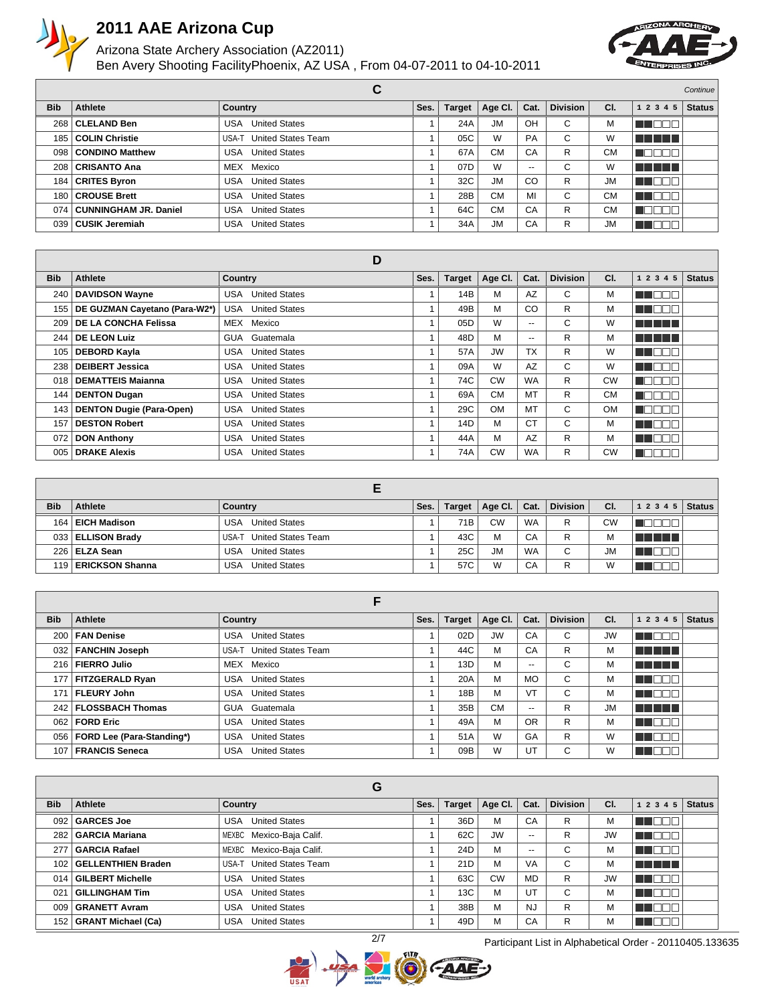

#### Arizona State Archery Association (AZ2011) Ben Avery Shooting Facility Phoenix, AZ USA , From 04-07-2011 to 04-10-2011



|            |                              | С                           |      |               |           |       |                 |           |                   | Continue      |
|------------|------------------------------|-----------------------------|------|---------------|-----------|-------|-----------------|-----------|-------------------|---------------|
| <b>Bib</b> | Athlete                      | Country                     | Ses. | <b>Target</b> | Age Cl.   | Cat.  | <b>Division</b> | CI.       | 1 2 3 4 5         | <b>Status</b> |
| 268        | <b>CLELAND Ben</b>           | <b>United States</b><br>USA |      | 24A           | <b>JM</b> | OH    | С               | M         | A NGC 1           |               |
| 185        | <b>COLIN Christie</b>        | USA-T United States Team    |      | 05C           | W         | PA    | C               | W         | n na mar          |               |
| 098        | <b>CONDINO Matthew</b>       | <b>United States</b><br>USA |      | 67A           | <b>CM</b> | CA    | R               | <b>CM</b> | - 1 1 1 1<br>I LI |               |
| 208        | <b>CRISANTO Ana</b>          | MEX Mexico                  |      | 07D           | W         | $- -$ | С               | W         | a na mga mag      |               |
| 184        | <b>CRITES Byron</b>          | <b>USA</b> United States    |      | 32C           | JM        | CO    | R               | <b>JM</b> | T DE E            |               |
| 180        | <b>CROUSE Brett</b>          | <b>USA</b> United States    |      | 28B           | <b>CM</b> | MI    | С               | <b>CM</b> | TE E E E          |               |
| 074        | <b>CUNNINGHAM JR. Daniel</b> | <b>USA</b> United States    |      | 64C           | <b>CM</b> | CA    | R               | <b>CM</b> | TI TI             |               |
| 039        | <b>CUSIK Jeremiah</b>        | <b>United States</b><br>USA |      | 34A           | <b>JM</b> | CA    | R               | <b>JM</b> | M DE L            |               |

|            |                                 | D                                  |      |               |           |                          |                 |           |              |               |
|------------|---------------------------------|------------------------------------|------|---------------|-----------|--------------------------|-----------------|-----------|--------------|---------------|
| <b>Bib</b> | Athlete                         | <b>Country</b>                     | Ses. | <b>Target</b> | Age Cl.   | Cat.                     | <b>Division</b> | CI.       | 1 2 3 4<br>5 | <b>Status</b> |
| 240        | <b>DAVIDSON Wayne</b>           | <b>United States</b><br>USA        |      | 14B           | М         | AZ                       | C               | М         | N NO BIG     |               |
| 155        | DE GUZMAN Cayetano (Para-W2*)   | <b>United States</b><br>USA        |      | 49B           | М         | CO                       | R               | М         | M J DE L     |               |
| 209        | <b>DE LA CONCHA Felissa</b>     | MEX Mexico                         |      | 05D           | W         | $\overline{\phantom{a}}$ | C               | W         | n de la p    |               |
| 244        | <b>DE LEON Luiz</b>             | GUA Guatemala                      |      | 48D           | М         | $\overline{\phantom{a}}$ | R               | М         | n na mga m   |               |
| 105        | <b>DEBORD Kayla</b>             | <b>United States</b><br>USA        |      | 57A           | <b>JW</b> | <b>TX</b>                | R               | W         | n na man     |               |
| 238        | <b>DEIBERT Jessica</b>          | <b>United States</b><br>USA        |      | 09A           | W         | AZ                       | C               | W         | N NO BE      |               |
| 018        | <b>DEMATTEIS Majanna</b>        | <b>United States</b><br>USA        |      | 74C           | <b>CW</b> | <b>WA</b>                | R               | <b>CW</b> | N E E E E    |               |
| 144        | <b>DENTON Dugan</b>             | <b>United States</b><br>USA        |      | 69A           | <b>CM</b> | MT                       | R               | СM        | كالحالة الدا |               |
| 143        | <b>DENTON Dugie (Para-Open)</b> | <b>United States</b><br>USA        |      | 29C           | <b>OM</b> | MT                       | C               | <b>OM</b> | n Einst      |               |
| 157        | <b>DESTON Robert</b>            | <b>United States</b><br><b>USA</b> |      | 14D           | М         | <b>CT</b>                | C               | М         | M DE B       |               |
| 072        | <b>DON Anthony</b>              | <b>United States</b><br>USA        |      | 44A           | М         | AZ                       | R               | М         | <b>THEED</b> |               |
| 005        | <b>DRAKE Alexis</b>             | <b>United States</b><br>USA        |      | 74A           | <b>CW</b> | <b>WA</b>                | R               | <b>CW</b> | 70 O         |               |

| <b>Bib</b> | Athlete             | Country                            | Ses. | <b>Target</b> | Age Cl.   | Cat.      | <b>Division</b> | CI.       | $1\ 2\ 3\ 4\ 5$ Status |  |
|------------|---------------------|------------------------------------|------|---------------|-----------|-----------|-----------------|-----------|------------------------|--|
| 164        | <b>EICH Madison</b> | <b>United States</b><br><b>USA</b> |      | 71B           | <b>CW</b> | <b>WA</b> | R               | CW        |                        |  |
|            | 033 ELLISON Brady   | <b>United States Team</b><br>USA-T |      | 43C           | M         | CA        | R               | М         | T TITLE                |  |
|            | 226   ELZA Sean     | <b>United States</b><br><b>USA</b> |      | 25C           | <b>JM</b> | <b>WA</b> | С               | <b>JM</b> |                        |  |
|            | 119 ERICKSON Shanna | <b>United States</b><br><b>USA</b> |      | 57C           | W         | CA        | R               | W         |                        |  |

|                  |                                 | F                                  |      |               |           |                          |                 |           |             |               |
|------------------|---------------------------------|------------------------------------|------|---------------|-----------|--------------------------|-----------------|-----------|-------------|---------------|
| <b>Bib</b>       | Athlete                         | Country                            | Ses. | <b>Target</b> | Age Cl.   | Cat.                     | <b>Division</b> | CI.       | 1 2 3 4 5   | <b>Status</b> |
| 200 <sub>1</sub> | <b>FAN Denise</b>               | <b>United States</b><br><b>USA</b> |      | 02D           | <b>JW</b> | CA                       | С               | <b>JW</b> | T FIFT      |               |
| 032 <sub>1</sub> | <b>FANCHIN Joseph</b>           | USA-T United States Team           |      | 44C           | м         | CA                       | R               | М         | T T T T T   |               |
| 216              | <b>FIERRO Julio</b>             | MEX Mexico                         |      | 13D           | м         | $- -$                    | C               | М         | a na mats   |               |
| 177              | <b>FITZGERALD Ryan</b>          | <b>United States</b><br>USA        |      | 20A           | м         | <b>MO</b>                | С               | М         | n na mar    |               |
| 171              | <b>FLEURY John</b>              | <b>United States</b><br>USA        |      | 18B           | м         | VT                       | C               | М         | HOO         |               |
|                  | 242   FLOSSBACH Thomas          | GUA Guatemala                      |      | 35B           | <b>CM</b> | $\overline{\phantom{a}}$ | R               | <b>JM</b> | n na mar    |               |
| 062              | <b>FORD Eric</b>                | <b>United States</b><br>USA        |      | 49A           | м         | OR                       | R               | М         | n de l      |               |
|                  | 056   FORD Lee (Para-Standing*) | <b>United States</b><br>USA        |      | 51A           | W         | GA                       | R               | W         | <b>TEND</b> |               |
| 107              | <b>FRANCIS Seneca</b>           | <b>United States</b><br><b>USA</b> |      | 09B           | W         | UT                       | С               | W         |             |               |

|              |                           | G                                  |      |                 |           |           |                 |           |                |               |
|--------------|---------------------------|------------------------------------|------|-----------------|-----------|-----------|-----------------|-----------|----------------|---------------|
| <b>Bib</b>   | Athlete                   | Country                            | Ses. | <b>Target</b>   | Age CI.   | Cat.      | <b>Division</b> | CI.       | 1 2 3 4 5      | <b>Status</b> |
| 092          | <b>GARCES Joe</b>         | <b>United States</b><br>USA        |      | 36D             | M         | CA        | R               | М         | N I H          |               |
| 282          | <b>GARCIA Mariana</b>     | MEXBC Mexico-Baja Calif.           |      | 62C             | <b>JW</b> | $- -$     | R               | <b>JW</b> | ╦<br>∎∎        |               |
| 277          | <b>GARCIA Rafael</b>      | MEXBC Mexico-Baja Calif.           |      | 24D             | M         | --        | С               | м         | TEF            |               |
| 102          | GELLENTHIEN Braden        | <b>United States Team</b><br>USA-T |      | 21D             | M         | <b>VA</b> | С               | м         | T T T T T      |               |
|              | 014 GILBERT Michelle      | <b>United States</b><br>USA        |      | 63C             | <b>CW</b> | <b>MD</b> | R               | <b>JW</b> | T T            |               |
| $02^{\circ}$ | <b>GILLINGHAM Tim</b>     | <b>United States</b><br>USA        |      | 13C             | M         | UT        | С               | м         | ∎∎<br>- III.   |               |
| 009          | <b>GRANETT Avram</b>      | <b>United States</b><br>USA        |      | 38B             | M         | <b>NJ</b> | R               | м         | I OF<br>- III. |               |
| 152          | <b>GRANT Michael (Ca)</b> | <b>United States</b><br>USA        |      | 49 <sub>D</sub> | M         | CA        | R               | м         | T EI           |               |



2/7 Participant List in Alphabetical Order - 20110405.133635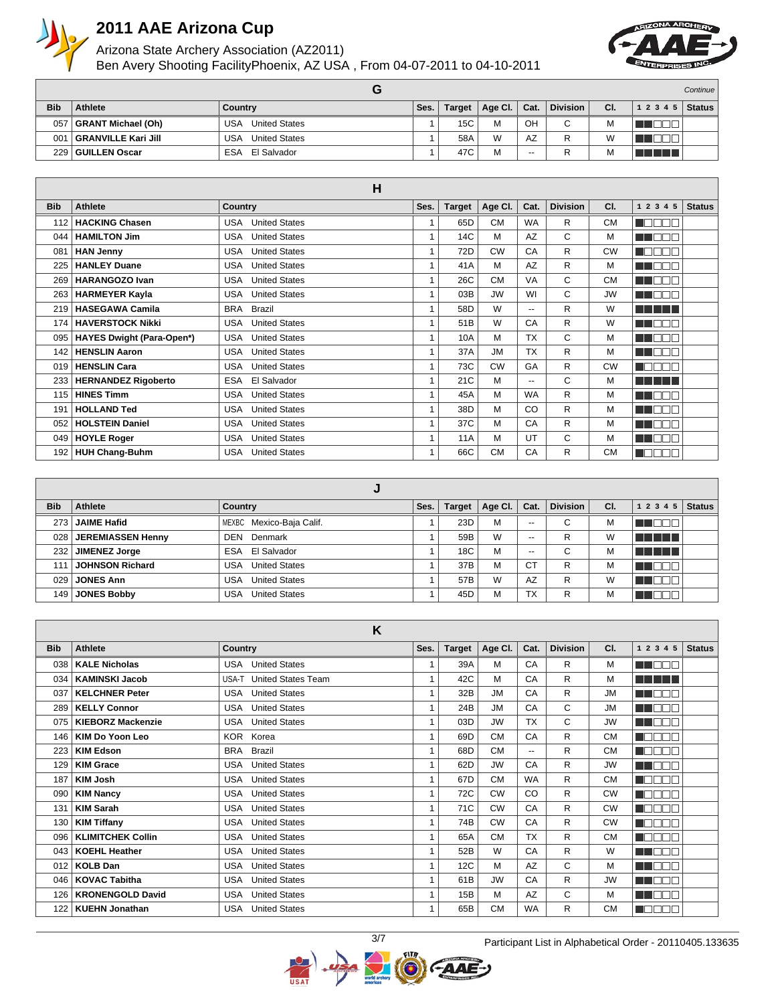

#### Arizona State Archery Association (AZ2011) Ben Avery Shooting Facility Phoenix, AZ USA , From 04-07-2011 to 04-10-2011



|            |                            |                                    |      |        |                     |       |                 |     |                          | Continue |
|------------|----------------------------|------------------------------------|------|--------|---------------------|-------|-----------------|-----|--------------------------|----------|
| <b>Bib</b> | Athlete                    | Country                            | Ses. | Target | Age Cl. $\parallel$ | Cat.  | <b>Division</b> | CI. | $1\;2\;3\;4\;5$   Status |          |
| 057        | <b>GRANT Michael (Oh)</b>  | <b>USA</b><br><b>United States</b> |      | 15C    | M                   | OH    | C               | IVI |                          |          |
| 001        | <b>GRANVILLE Kari Jill</b> | <b>USA</b><br><b>United States</b> |      | 58A    | W                   | AZ    | R               |     |                          |          |
| 229        | ∣ GUILLEN Oscar            | ESA<br>El Salvador                 |      | 47C    | М                   | $- -$ | R               | IVI | T                        |          |

|            |                                  | H                                  |              |               |           |                          |                 |           |             |               |
|------------|----------------------------------|------------------------------------|--------------|---------------|-----------|--------------------------|-----------------|-----------|-------------|---------------|
| <b>Bib</b> | Athlete                          | Country                            | Ses.         | <b>Target</b> | Age CI.   | Cat.                     | <b>Division</b> | CI.       | 1 2 3 4 5   | <b>Status</b> |
| 112        | <b>HACKING Chasen</b>            | <b>United States</b><br><b>USA</b> | 1            | 65D           | <b>CM</b> | <b>WA</b>                | R               | <b>CM</b> | n a a a     |               |
| 044        | <b>HAMILTON Jim</b>              | <b>United States</b><br><b>USA</b> | 1            | 14C           | M         | AZ                       | C               | М         | MA DEL      |               |
| 081        | <b>HAN Jenny</b>                 | <b>United States</b><br><b>USA</b> | $\mathbf{1}$ | 72D           | <b>CW</b> | CA                       | R               | <b>CW</b> | M T         |               |
| 225        | <b>HANLEY Duane</b>              | <b>United States</b><br><b>USA</b> | 1            | 41A           | M         | AZ                       | R               | М         | E E E E     |               |
| 269        | <b>HARANGOZO Ivan</b>            | <b>United States</b><br><b>USA</b> |              | 26C           | <b>CM</b> | VA                       | C               | <b>CM</b> | HE OFI      |               |
| 263        | <b>HARMEYER Kayla</b>            | <b>United States</b><br><b>USA</b> |              | 03B           | <b>JW</b> | WI                       | C               | <b>JW</b> | n an Dei    |               |
| 219        | <b>HASEGAWA Camila</b>           | <b>BRA</b><br><b>Brazil</b>        | 1            | 58D           | W         | $\overline{\phantom{a}}$ | R               | W         | a sa san    |               |
| 174        | <b>HAVERSTOCK Nikki</b>          | <b>United States</b><br><b>USA</b> | 1            | 51B           | W         | CA                       | R               | W         | N NOSE      |               |
| 095        | <b>HAYES Dwight (Para-Open*)</b> | <b>USA</b><br><b>United States</b> | 1            | 10A           | M         | <b>TX</b>                | C               | M         | n na Biblia |               |
| 142        | <b>HENSLIN Aaron</b>             | <b>United States</b><br><b>USA</b> | 1            | 37A           | <b>JM</b> | <b>TX</b>                | R               | M         | n na mata   |               |
| 019        | <b>HENSLIN Cara</b>              | <b>United States</b><br><b>USA</b> | 1            | 73C           | <b>CW</b> | GA                       | R               | <b>CW</b> | TN<br>m m   |               |
| 233        | <b>HERNANDEZ Rigoberto</b>       | <b>ESA</b><br>El Salvador          | 1            | 21C           | M         | $\overline{a}$           | C               | M         | n na mara   |               |
| 115        | <b>HINES Timm</b>                | <b>United States</b><br><b>USA</b> | 1            | 45A           | м         | <b>WA</b>                | R               | M         | n noor      |               |
| 191        | <b>HOLLAND Ted</b>               | <b>United States</b><br>USA        | 1            | 38D           | M         | CO                       | R               | М         | n na ma     |               |
| 052        | <b>HOLSTEIN Daniel</b>           | <b>United States</b><br>USA        | 1            | 37C           | M         | CA                       | R               | М         | n nooc      |               |
| 049        | <b>HOYLE Roger</b>               | <b>United States</b><br><b>USA</b> | 1            | <b>11A</b>    | M         | UT                       | C               | М         | M DEI       |               |
| 192        | <b>HUH Chang-Buhm</b>            | <b>United States</b><br>USA        |              | 66C           | <b>CM</b> | CA                       | R               | <b>CM</b> | MO (        |               |

| <b>Bib</b> | Athlete              | Country                     | Ses. | <b>Target</b> | Age Cl. | Cat.      | <b>Division</b> | CI. | 1 2 3 4 5 | <b>Status</b> |
|------------|----------------------|-----------------------------|------|---------------|---------|-----------|-----------------|-----|-----------|---------------|
| 273        | <b>JAIME Hafid</b>   | MEXBC Mexico-Baja Calif.    |      | 23D           | M       | $-$       | С               | M   | TE ELECT  |               |
| 028        | JEREMIASSEN Henny    | <b>DEN</b> Denmark          |      | 59B           | W       | $- -$     | R               | W   | n na mar  |               |
| 232        | <b>JIMENEZ Jorge</b> | ESA El Salvador             |      | 18C           | M       | $- -$     | С               | м   | <b>.</b>  |               |
| 111        | JOHNSON Richard      | <b>United States</b><br>USA |      | 37B           | M       | <b>CT</b> | R               | М   | ПL        |               |
| 029        | <b>JONES Ann</b>     | <b>United States</b><br>USA |      | 57B           | W       | AZ        | R               | W   | TE ELECT  |               |
| 149        | <b>JONES Bobby</b>   | <b>United States</b><br>USA |      | 45D           | M       | <b>TX</b> | R               | M   | ⊣г        |               |

|            |                          | K                                  |              |               |           |                |                 |           |             |               |
|------------|--------------------------|------------------------------------|--------------|---------------|-----------|----------------|-----------------|-----------|-------------|---------------|
| <b>Bib</b> | <b>Athlete</b>           | <b>Country</b>                     | Ses.         | <b>Target</b> | Age Cl.   | Cat.           | <b>Division</b> | CI.       | 1 2 3 4 5   | <b>Status</b> |
| 038        | <b>KALE Nicholas</b>     | <b>USA</b> United States           | $\mathbf{1}$ | 39A           | M         | CA             | R               | M         | n noon      |               |
| 034        | <b>KAMINSKI Jacob</b>    | <b>United States Team</b><br>USA-T | $\mathbf{1}$ | 42C           | М         | CA             | R               | М         | T T T T T   |               |
| 037        | <b>KELCHNER Peter</b>    | <b>USA</b> United States           | 1            | 32B           | <b>JM</b> | CA             | R               | <b>JM</b> | M DE L      |               |
| 289        | <b>KELLY Connor</b>      | <b>United States</b><br>USA        | $\mathbf{1}$ | 24B           | <b>JM</b> | CA             | C               | <b>JM</b> | u nder      |               |
| 075        | <b>KIEBORZ Mackenzie</b> | <b>United States</b><br>USA        | $\mathbf{1}$ | 03D           | <b>JW</b> | <b>TX</b>      | C               | <b>JW</b> | N DE L      |               |
| 146        | <b>KIM Do Yoon Leo</b>   | KOR Korea                          | 1            | 69D           | <b>CM</b> | CA             | R               | <b>CM</b> | n a a m     |               |
| 223        | <b>KIM Edson</b>         | <b>BRA</b><br><b>Brazil</b>        | $\mathbf{1}$ | 68D           | <b>CM</b> | $\overline{a}$ | R               | <b>CM</b> | n a mar     |               |
| 129        | <b>KIM Grace</b>         | <b>United States</b><br><b>USA</b> | 1            | 62D           | <b>JW</b> | CA             | R               | <b>JW</b> | man man     |               |
| 187        | <b>KIM Josh</b>          | <b>USA</b> United States           | $\mathbf{1}$ | 67D           | <b>CM</b> | <b>WA</b>      | R               | <b>CM</b> | u o o o d   |               |
| 090        | <b>KIM Nancy</b>         | <b>United States</b><br>USA        | $\mathbf{1}$ | 72C           | <b>CW</b> | CO             | R               | <b>CW</b> | na mata     |               |
| 131        | <b>KIM Sarah</b>         | <b>USA</b> United States           | 1            | 71C           | <b>CW</b> | CA             | R               | <b>CW</b> | n din bir   |               |
| 130        | <b>KIM Tiffany</b>       | <b>United States</b><br><b>USA</b> | $\mathbf{1}$ | 74B           | <b>CW</b> | CA             | R               | <b>CW</b> | N FIFIT     |               |
| 096        | <b>KLIMITCHEK Collin</b> | <b>United States</b><br>USA        | $\mathbf{1}$ | 65A           | <b>CM</b> | <b>TX</b>      | R               | <b>CM</b> | n manar     |               |
| 043        | <b>KOEHL Heather</b>     | <b>USA</b> United States           | 1            | 52B           | W         | CA             | R               | W         | n na sa     |               |
| 012        | <b>KOLB Dan</b>          | <b>United States</b><br>USA        | $\mathbf{1}$ | 12C           | M         | AZ             | C               | М         | n de la     |               |
| 046        | <b>KOVAC Tabitha</b>     | <b>United States</b><br>USA        | 1            | 61B           | <b>JW</b> | CA             | R               | <b>JW</b> | n a shekar  |               |
| 126        | <b>KRONENGOLD David</b>  | <b>United States</b><br>USA        | 1            | 15B           | М         | AZ             | C               | М         | N DE L      |               |
| 122        | <b>KUEHN Jonathan</b>    | <b>USA</b> United States           | 1            | 65B           | <b>CM</b> | <b>WA</b>      | R               | <b>CM</b> | ┐г<br>- E I |               |

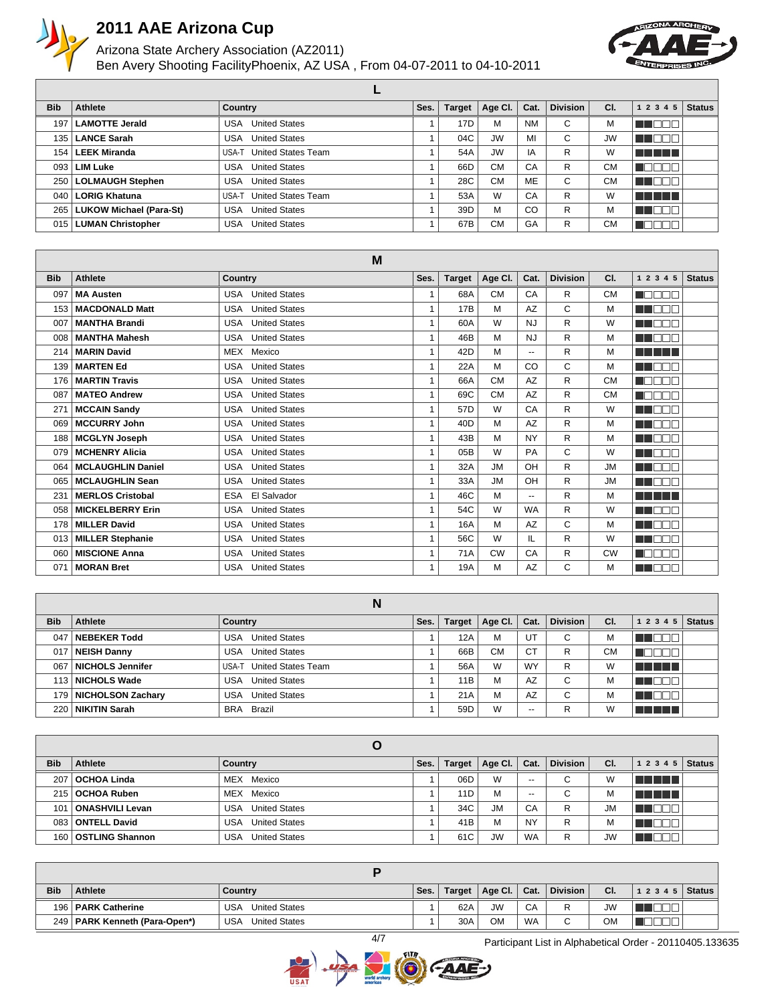

### Arizona State Archery Association (AZ2011) Ben Avery Shooting Facility Phoenix, AZ USA , From 04-07-2011 to 04-10-2011



| <b>Bib</b>       | Athlete                       | Country                            | Ses. | <b>Target</b> | Age CI.   | Cat.      | <b>Division</b> | CI.       | 1 2 3 4 5       | <b>Status</b> |
|------------------|-------------------------------|------------------------------------|------|---------------|-----------|-----------|-----------------|-----------|-----------------|---------------|
| 197              | <b>LAMOTTE Jerald</b>         | <b>United States</b><br>USA        |      | 17D           | M         | <b>NM</b> | C               | м         | M DOO           |               |
| 135 <sub>1</sub> | <b>LANCE Sarah</b>            | <b>United States</b><br>USA        |      | 04C           | <b>JW</b> | MI        | С               | <b>JW</b> | <b>UNDER</b>    |               |
|                  | 154   LEEK Miranda            | <b>United States Team</b><br>USA-T |      | 54A           | <b>JW</b> | IA        | R               | W         | n din sa        |               |
|                  | 093   LIM Luke                | <b>United States</b><br>USA        |      | 66D           | <b>CM</b> | CA        | R               | <b>CM</b> | TN L<br>TO      |               |
|                  | 250   LOLMAUGH Stephen        | <b>United States</b><br>USA        |      | 28C           | <b>CM</b> | ME        | С               | СM        | <u>'on dee,</u> |               |
|                  | 040   LORIG Khatuna           | <b>United States Team</b><br>USA-T |      | 53A           | W         | CA        | R               | W         | a a shekar      |               |
|                  | 265   LUKOW Michael (Para-St) | <b>United States</b><br>USA        |      | 39D           | M         | CO        | R               | М         | M BER           |               |
|                  | 015   LUMAN Christopher       | <b>United States</b><br>USA        |      | 67B           | <b>CM</b> | GA        | R               | CМ        | TN T            |               |

|            |                          | M                                  |              |               |           |           |                 |           |             |               |
|------------|--------------------------|------------------------------------|--------------|---------------|-----------|-----------|-----------------|-----------|-------------|---------------|
| <b>Bib</b> | <b>Athlete</b>           | <b>Country</b>                     | Ses.         | <b>Target</b> | Age CI.   | Cat.      | <b>Division</b> | CI.       | 1 2 3 4 5   | <b>Status</b> |
| 097        | <b>MA Austen</b>         | <b>United States</b><br>USA        | 1            | 68A           | <b>CM</b> | CA        | R               | <b>CM</b> | n an Dir    |               |
| 153        | <b>MACDONALD Matt</b>    | <b>United States</b><br>USA        | 1            | <b>17B</b>    | M         | AZ        | C               | М         | n na mar    |               |
| 007        | <b>MANTHA Brandi</b>     | <b>United States</b><br><b>USA</b> | $\mathbf{1}$ | 60A           | W         | <b>NJ</b> | R               | W         | n de la T   |               |
| 008        | <b>MANTHA Mahesh</b>     | <b>United States</b><br><b>USA</b> | 1            | 46B           | M         | <b>NJ</b> | $\mathsf{R}$    | М         | n na Biblia |               |
| 214        | <b>MARIN David</b>       | <b>MEX</b><br>Mexico               | 1            | 42D           | M         | $- -$     | $\mathsf{R}$    | М         | <b>.</b>    |               |
| 139        | <b>MARTEN Ed</b>         | <b>United States</b><br><b>USA</b> | $\mathbf{1}$ | 22A           | M         | CO        | C               | М         | n mar       |               |
| 176        | <b>MARTIN Travis</b>     | <b>United States</b><br>USA        | $\mathbf{1}$ | 66A           | <b>CM</b> | AZ        | R               | <b>CM</b> | MA DI DI T  |               |
| 087        | <b>MATEO Andrew</b>      | <b>United States</b><br><b>USA</b> | 1            | 69C           | <b>CM</b> | AZ        | R               | <b>CM</b> | n omar      |               |
| 271        | <b>MCCAIN Sandy</b>      | <b>United States</b><br><b>USA</b> | $\mathbf{1}$ | 57D           | W         | CA        | R               | W         | TI DO T     |               |
| 069        | <b>MCCURRY John</b>      | <b>United States</b><br><b>USA</b> | $\mathbf{1}$ | 40D           | M         | AZ        | R               | М         | HE ELECT    |               |
| 188        | <b>MCGLYN Joseph</b>     | <b>United States</b><br><b>USA</b> | 1            | 43B           | M         | <b>NY</b> | R               | М         | ma mar      |               |
| 079        | <b>MCHENRY Alicia</b>    | <b>United States</b><br><b>USA</b> | $\mathbf{1}$ | 05B           | W         | PA        | C               | W         | E E E E E   |               |
| 064        | <b>MCLAUGHLIN Daniel</b> | <b>United States</b><br><b>USA</b> | 1            | 32A           | <b>JM</b> | OH        | R               | <b>JM</b> | n de la B   |               |
| 065        | <b>MCLAUGHLIN Sean</b>   | <b>United States</b><br><b>USA</b> | 1            | 33A           | <b>JM</b> | OH        | R               | <b>JM</b> | n i de g    |               |
| 231        | <b>MERLOS Cristobal</b>  | El Salvador<br><b>ESA</b>          | 1            | 46C           | M         | $- -$     | $\mathsf{R}$    | M         | n na mar    |               |
| 058        | <b>MICKELBERRY Erin</b>  | <b>United States</b><br><b>USA</b> | $\mathbf{1}$ | 54C           | W         | <b>WA</b> | $\mathsf{R}$    | W         | n i Bibli   |               |
| 178        | <b>MILLER David</b>      | <b>United States</b><br>USA        | 1            | 16A           | M         | <b>AZ</b> | C               | М         | n na Bibli  |               |
| 013        | <b>MILLER Stephanie</b>  | <b>United States</b><br><b>USA</b> | 1            | 56C           | W         | IL        | $\mathsf{R}$    | W         | a a mar     |               |
| 060        | <b>MISCIONE Anna</b>     | <b>United States</b><br><b>USA</b> | $\mathbf{1}$ | 71A           | <b>CW</b> | CA        | R               | <b>CW</b> |             |               |
| 071        | <b>MORAN Bret</b>        | <b>USA</b> United States           | 1            | 19A           | M         | <b>AZ</b> | C               | M         | E E E E E   |               |

**N**

|            |                      | N                                  |      |        |           |           |                 |     |           |               |
|------------|----------------------|------------------------------------|------|--------|-----------|-----------|-----------------|-----|-----------|---------------|
| <b>Bib</b> | Athlete              | Country                            | Ses. | Target | Age Cl.   | Cat.      | <b>Division</b> | CI. | 1 2 3 4 5 | <b>Status</b> |
| 047        | <b>NEBEKER Todd</b>  | <b>United States</b><br>USA        |      | 12A    | M         | UT        | С               | м   |           |               |
| 017        | <b>NEISH Danny</b>   | <b>United States</b><br>USA        |      | 66B    | <b>CM</b> | <b>CT</b> | R               | СM  |           |               |
| 067        | NICHOLS Jennifer     | <b>United States Team</b><br>USA-T |      | 56A    | W         | <b>WY</b> | R               | W   | n din sa  |               |
|            | 113 NICHOLS Wade     | <b>United States</b><br>USA        |      | 11B    | М         | AZ        | С               |     |           |               |
| 179        | NICHOLSON Zachary    | <b>United States</b><br>USA        |      | 21A    | М         | AZ        | С               | м   |           |               |
| 220        | <b>NIKITIN Sarah</b> | BRA Brazil                         |      | 59D    | W         | $- -$     | R               | W   |           |               |

| <b>Bib</b> | Athlete                | Country                      | Ses. | <b>Target</b> | Age Cl.   | Cat.      | <b>Division</b> | CI.       | 1 2 3 4 5   | <b>Status</b> |
|------------|------------------------|------------------------------|------|---------------|-----------|-----------|-----------------|-----------|-------------|---------------|
| 207        | <b>OCHOA Linda</b>     | MEX Mexico                   |      | 06D           | W         | $- -$     | С               | W         | n din salah |               |
| 215        | <b>OCHOA Ruben</b>     | MEX Mexico                   |      | 11D           | M         | $- -$     | С               | М         | .           |               |
| 101        | ONASHVILI Levan        | <b>United States</b><br>USA  |      | 34C           | <b>JM</b> | CA        | R               | <b>JM</b> |             |               |
| 083        | <b>ONTELL David</b>    | <b>United States</b><br>USA  |      | 41B           | M         | NY        | R               | м         | HO          |               |
| 160        | <b>OSTLING Shannon</b> | <b>United States</b><br>USA. |      | 61C           | <b>JW</b> | <b>WA</b> | R               | JW        |             |               |

| <b>Bib</b> | Athlete                         | Country                     | Ses. | Target | Age Cl.   | Cat.      | <b>Division</b> | CI.       | 1 2 3 4 5   Status |  |
|------------|---------------------------------|-----------------------------|------|--------|-----------|-----------|-----------------|-----------|--------------------|--|
|            | 196   PARK Catherine            | USA<br><b>United States</b> |      | 62A    | <b>JW</b> | CA        | D               | <b>JW</b> |                    |  |
|            | 249   PARK Kenneth (Para-Open*) | USA<br><b>United States</b> |      | 30A    | <b>OM</b> | <b>WA</b> | $\sim$<br>ັ     | OM        |                    |  |

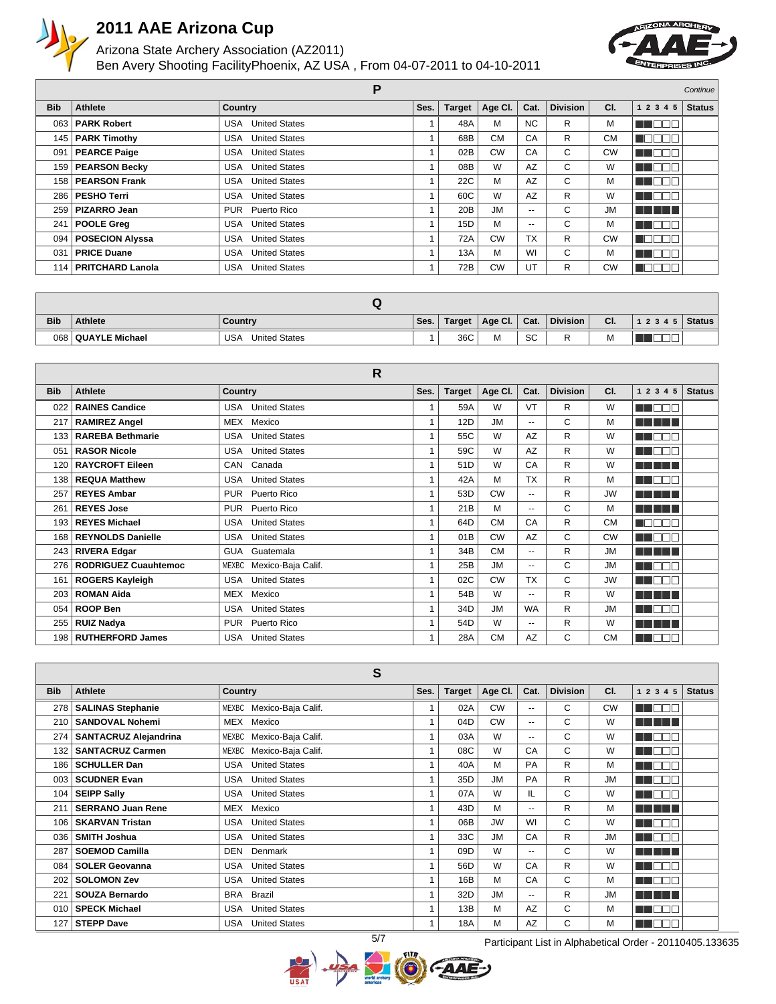

### Arizona State Archery Association (AZ2011) Ben Avery Shooting Facility Phoenix, AZ USA , From 04-07-2011 to 04-10-2011



|                  | Р                      |                             |      |                 |           |                          |                 |           | Continue                                             |               |
|------------------|------------------------|-----------------------------|------|-----------------|-----------|--------------------------|-----------------|-----------|------------------------------------------------------|---------------|
| <b>Bib</b>       | <b>Athlete</b>         | <b>Country</b>              | Ses. | <b>Target</b>   | Age CI.   | Cat.                     | <b>Division</b> | CI.       | 1 2 3 4 5                                            | <b>Status</b> |
| 063 <sub>1</sub> | <b>PARK Robert</b>     | <b>United States</b><br>USA |      | 48A             | М         | <b>NC</b>                | R               | м         | MA OCH                                               |               |
| 145              | <b>PARK Timothy</b>    | <b>USA</b> United States    |      | 68B             | <b>CM</b> | CA                       | R               | <b>CM</b> | na m<br>UOL                                          |               |
| 091              | <b>PEARCE Paige</b>    | <b>United States</b><br>USA |      | 02B             | <b>CW</b> | CA                       | С               | <b>CW</b> | M DOO                                                |               |
|                  | 159   PEARSON Becky    | <b>United States</b><br>USA |      | 08B             | W         | AZ                       | C               | W         | M SO SO                                              |               |
| 158              | <b>PEARSON Frank</b>   | <b>USA</b> United States    |      | 22C             | M         | AZ                       | C               | M         | MA O O C                                             |               |
|                  | 286   PESHO Terri      | <b>USA</b> United States    |      | 60C             | W         | AZ                       | R               | W         | N NOST                                               |               |
| 259              | <b>PIZARRO Jean</b>    | Puerto Rico<br><b>PUR</b>   |      | 20B             | <b>JM</b> | $\overline{\phantom{a}}$ | C               | <b>JM</b> | n din s                                              |               |
| 241              | POOLE Greg             | <b>United States</b><br>USA |      | 15 <sub>D</sub> | M         | $\overline{\phantom{a}}$ | C               | м         | M DOO                                                |               |
| 094              | <b>POSECION Alyssa</b> | <b>United States</b><br>USA |      | 72A             | <b>CW</b> | <b>TX</b>                | R               | <b>CW</b> | <b>NODOB</b>                                         |               |
| 031              | <b>PRICE Duane</b>     | <b>United States</b><br>USA |      | 13A             | M         | WI                       | C               | M         | <u>o da biblio d</u>                                 |               |
|                  | 114   PRITCHARD Lanola | <b>United States</b><br>USA |      | 72B             | <b>CW</b> | UT                       | R               | <b>CW</b> | $\blacksquare$ $\blacksquare$ $\blacksquare$<br>- 01 |               |

| <b>Bib</b> | <b>Athlete</b>       | Country                            | Ses. | Target | Age Cl. | Cat. | <b>Division</b> | CI. | $1\ 2\ 3\ 4\ 5$ Status |  |
|------------|----------------------|------------------------------------|------|--------|---------|------|-----------------|-----|------------------------|--|
|            | 068   QUAYLE Michael | <b>USA</b><br><b>United States</b> |      | 36C    | м       | SC   | <u>_</u><br>к   | IVI |                        |  |

|                  | R                           |                             |      |               |           |                |                 |           |                          |               |  |  |
|------------------|-----------------------------|-----------------------------|------|---------------|-----------|----------------|-----------------|-----------|--------------------------|---------------|--|--|
| <b>Bib</b>       | <b>Athlete</b>              | <b>Country</b>              | Ses. | <b>Target</b> | Age CI.   | Cat.           | <b>Division</b> | CI.       | 1 2 3 4 5                | <b>Status</b> |  |  |
| 022              | <b>RAINES Candice</b>       | <b>United States</b><br>USA |      | 59A           | W         | VT             | R               | W         | man man                  |               |  |  |
| 217              | <b>RAMIREZ Angel</b>        | MEX<br>Mexico               |      | 12D           | <b>JM</b> | $-1$           | C               | М         | n na mar                 |               |  |  |
| 133              | <b>RAREBA Bethmarie</b>     | <b>United States</b><br>USA |      | 55C           | W         | <b>AZ</b>      | R               | W         | n m<br>┓┎                |               |  |  |
| 051              | <b>RASOR Nicole</b>         | <b>United States</b><br>USA |      | 59C           | W         | AZ             | R               | W         | ПF<br>n or<br>-H.        |               |  |  |
| 120              | <b>RAYCROFT Eileen</b>      | Canada<br>CAN               |      | 51D           | W         | CA             | R               | W         |                          |               |  |  |
| 138              | <b>REQUA Matthew</b>        | <b>United States</b><br>USA |      | 42A           | M         | <b>TX</b>      | R               | м         | ╖┌<br>n di<br>⊤r         |               |  |  |
| 257              | <b>REYES Ambar</b>          | Puerto Rico<br><b>PUR</b>   |      | 53D           | <b>CW</b> | $\overline{a}$ | R               | <b>JW</b> | n na mara                |               |  |  |
| 261              | <b>REYES Jose</b>           | Puerto Rico<br><b>PUR</b>   |      | 21B           | M         | $-1$           | C               | м         | n na mar                 |               |  |  |
| 193              | <b>REYES Michael</b>        | <b>United States</b><br>USA |      | 64D           | <b>CM</b> | CA             | R               | <b>CM</b> | $\neg \Box \Box$<br>n di |               |  |  |
| 168              | <b>REYNOLDS Danielle</b>    | <b>United States</b><br>USA |      | 01B           | <b>CW</b> | AZ             | C               | <b>CW</b> | TI NOT                   |               |  |  |
| 243              | <b>RIVERA Edgar</b>         | GUA Guatemala               |      | 34B           | <b>CM</b> | $\sim$         | R               | <b>JM</b> |                          |               |  |  |
| 276              | <b>RODRIGUEZ Cuauhtemoc</b> | Mexico-Baja Calif.<br>MEXBC |      | 25B           | <b>JM</b> | $\overline{a}$ | C               | <b>JM</b> | n din s<br>ПE            |               |  |  |
| 161              | <b>ROGERS Kayleigh</b>      | <b>United States</b><br>USA |      | 02C           | <b>CW</b> | <b>TX</b>      | C               | <b>JW</b> | N BOOT                   |               |  |  |
| 203              | <b>ROMAN Aida</b>           | MEX<br>Mexico               |      | 54B           | W         | $\overline{a}$ | R               | W         | ----                     |               |  |  |
| 054              | <b>ROOP Ben</b>             | <b>United States</b><br>USA |      | 34D           | <b>JM</b> | <b>WA</b>      | R               | <b>JM</b> | U DOG                    |               |  |  |
| 255              | <b>RUIZ Nadya</b>           | Puerto Rico<br><b>PUR</b>   |      | 54D           | W         | $-1$           | R               | W         |                          |               |  |  |
| 198 <sup>1</sup> | <b>RUTHERFORD James</b>     | <b>United States</b><br>USA |      | 28A           | <b>CM</b> | <b>AZ</b>      | C               | <b>CM</b> | T<br>n di F<br>-H.       |               |  |  |

|            |                              | S                                  |              |               |           |                          |                 |           |                         |               |
|------------|------------------------------|------------------------------------|--------------|---------------|-----------|--------------------------|-----------------|-----------|-------------------------|---------------|
| <b>Bib</b> | Athlete                      | <b>Country</b>                     | Ses.         | <b>Target</b> | Age Cl.   | Cat.                     | <b>Division</b> | CI.       | 1 2 3 4 5               | <b>Status</b> |
| 278        | <b>SALINAS Stephanie</b>     | MEXBC Mexico-Baja Calif.           |              | 02A           | <b>CW</b> | $\overline{\phantom{a}}$ | C               | <b>CW</b> | N NOT                   |               |
| 210        | <b>SANDOVAL Nohemi</b>       | MEX<br>Mexico                      | 1            | 04D           | <b>CW</b> | $\overline{\phantom{a}}$ | C               | W         |                         |               |
| 274        | <b>SANTACRUZ Alejandrina</b> | MEXBC<br>Mexico-Baja Calif.        | 1            | 03A           | W         | $\overline{\phantom{a}}$ | C               | W         | n di se<br>$\mathbb{I}$ |               |
| 132        | <b>SANTACRUZ Carmen</b>      | MEXBC<br>Mexico-Baja Calif.        | 1            | 08C           | W         | CA                       | C               | W         | T FIT                   |               |
| 186        | <b>SCHULLER Dan</b>          | <b>United States</b><br>USA        | 1            | 40A           | M         | PA                       | R               | M         | ╖<br>n n                |               |
| 003        | <b>SCUDNER Evan</b>          | <b>United States</b><br>USA        |              | 35D           | <b>JM</b> | PA                       | R               | <b>JM</b> | T<br>n di m             |               |
| 104        | <b>SEIPP Sally</b>           | <b>United States</b><br>USA        |              | 07A           | W         | IL                       | C               | W         | T<br>N NA               |               |
| 211        | <b>SERRANO Juan Rene</b>     | MEX<br>Mexico                      |              | 43D           | M         | $\overline{\phantom{a}}$ | R               | M         | n na mara               |               |
| 106        | <b>SKARVAN Tristan</b>       | <b>United States</b><br><b>USA</b> |              | 06B           | <b>JW</b> | WI                       | C               | W         | a di I<br>$\mathbf{H}$  |               |
| 036        | <b>SMITH Joshua</b>          | <b>United States</b><br><b>USA</b> | 1            | 33C           | <b>JM</b> | CA                       | R               | <b>JM</b> | a di I<br>H.            |               |
| 287        | <b>SOEMOD Camilla</b>        | <b>DEN</b><br>Denmark              | $\mathbf{1}$ | 09D           | W         | $\overline{\phantom{a}}$ | C               | W         | n din sa                |               |
| 084        | <b>SOLER Geovanna</b>        | <b>United States</b><br><b>USA</b> | 1            | 56D           | W         | CA                       | R               | W         | n di<br>$\mathbf{H}$    |               |
| 202        | <b>SOLOMON Zev</b>           | <b>United States</b><br><b>USA</b> | $\mathbf{1}$ | 16B           | M         | CA                       | C               | M         | T FIF<br>$\mathbb{I}$   |               |
| 221        | <b>SOUZA Bernardo</b>        | <b>BRA</b><br><b>Brazil</b>        | $\mathbf{1}$ | 32D           | <b>JM</b> | $\overline{\phantom{a}}$ | R               | <b>JM</b> | a di Biblio             |               |
| 010        | <b>SPECK Michael</b>         | <b>USA</b><br><b>United States</b> | 1            | 13B           | M         | AZ                       | C               | м         | a di F<br>$\mathbf{H}$  |               |
| 127        | <b>STEPP Dave</b>            | <b>United States</b><br><b>USA</b> | 1            | 18A           | М         | AZ                       | C               | м         | n di f<br>-H.           |               |



5/7 Participant List in Alphabetical Order - 20110405.133635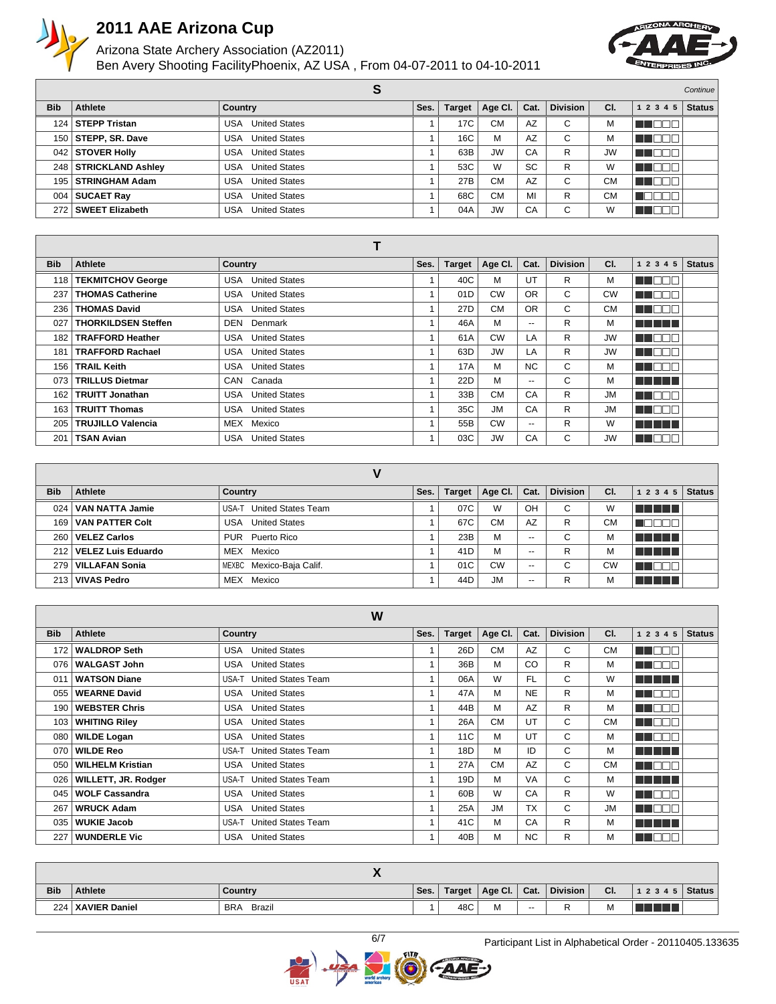

### Arizona State Archery Association (AZ2011) Ben Avery Shooting Facility Phoenix, AZ USA , From 04-07-2011 to 04-10-2011



|            |                         | o                           |      |               |           |           |                 |           |           | Continue      |
|------------|-------------------------|-----------------------------|------|---------------|-----------|-----------|-----------------|-----------|-----------|---------------|
| <b>Bib</b> | Athlete                 | <b>Country</b>              | Ses. | <b>Target</b> | Age Cl.   | Cat.      | <b>Division</b> | CI.       | 1 2 3 4 5 | <b>Status</b> |
| 124        | <b>STEPP Tristan</b>    | <b>United States</b><br>USA |      | 17C           | СM        | AZ        | С               | M         |           |               |
| 150        | STEPP, SR. Dave         | <b>United States</b><br>USA |      | 16C           | M         | AZ        | С               | М         |           |               |
|            | 042   STOVER Holly      | <b>United States</b><br>USA |      | 63B           | <b>JW</b> | CA        | R               | <b>JW</b> | n Eng     |               |
|            | 248   STRICKLAND Ashley | <b>United States</b><br>USA |      | 53C           | W         | <b>SC</b> | R               | W         | Пſ<br>TEI |               |
|            | 195   STRINGHAM Adam    | <b>United States</b><br>USA |      | 27B           | <b>CM</b> | AZ        | С               | <b>CM</b> | TH        |               |
| 004        | <b>SUCAET Ray</b>       | <b>United States</b><br>USA |      | 68C           | <b>CM</b> | MI        | R               | <b>CM</b> |           |               |
| 272        | SWEET Elizabeth         | <b>United States</b><br>USA |      | 04A           | <b>JW</b> | CA        | С               | W         | VENDE J   |               |

|            |                            | Т                                  |      |                 |           |                          |                 |           |              |               |
|------------|----------------------------|------------------------------------|------|-----------------|-----------|--------------------------|-----------------|-----------|--------------|---------------|
| <b>Bib</b> | Athlete                    | <b>Country</b>                     | Ses. | <b>Target</b>   | Age Cl.   | Cat.                     | <b>Division</b> | CI.       | 1 2 3 4 5    | <b>Status</b> |
| 118        | <b>TEKMITCHOV George</b>   | <b>United States</b><br>USA        |      | 40C             | M         | UT                       | R               | м         | M DO U       |               |
| 237        | <b>THOMAS Catherine</b>    | <b>United States</b><br><b>USA</b> |      | 01D             | <b>CW</b> | <b>OR</b>                | C.              | <b>CW</b> | <b>HELLE</b> |               |
| 236        | <b>THOMAS David</b>        | <b>United States</b><br><b>USA</b> |      | 27 <sub>D</sub> | <b>CM</b> | <b>OR</b>                | C.              | <b>CM</b> | N DE E       |               |
| 027        | <b>THORKILDSEN Steffen</b> | DEN<br>Denmark                     |      | 46A             | м         | $\overline{\phantom{a}}$ | R               | м         | a sa san     |               |
| 182        | <b>TRAFFORD Heather</b>    | <b>United States</b><br><b>USA</b> |      | 61A             | <b>CW</b> | LA                       | R               | <b>JW</b> | n de e       |               |
| 181        | <b>TRAFFORD Rachael</b>    | <b>United States</b><br><b>USA</b> |      | 63D             | <b>JW</b> | LA                       | R.              | <b>JW</b> | M O D D      |               |
| 156        | <b>TRAIL Keith</b>         | <b>United States</b><br><b>USA</b> |      | 17A             | м         | NC.                      | C.              | м         | ma mata      |               |
| 073        | <b>TRILLUS Dietmar</b>     | CAN<br>Canada                      |      | 22D             | M         | $\overline{\phantom{a}}$ | C               | м         | n na mara    |               |
| 162        | <b>TRUITT Jonathan</b>     | <b>United States</b><br>USA        |      | 33B             | <b>CM</b> | CA                       | R               | <b>JM</b> | MA OCIA      |               |
| 163        | <b>TRUITT Thomas</b>       | <b>United States</b><br>USA        |      | 35C             | <b>JM</b> | CA                       | R               | <b>JM</b> | N HOOT       |               |
| 205        | <b>TRUJILLO Valencia</b>   | MEX Mexico                         |      | 55B             | <b>CW</b> | $\overline{\phantom{a}}$ | R               | W         | n na mara    |               |
| 201        | <b>TSAN Avian</b>          | <b>United States</b><br><b>USA</b> |      | 03C             | <b>JW</b> | CA                       | C               | <b>JW</b> | N DE S       |               |

| V |            |                        |                                    |      |               |           |       |                 |           |                |               |
|---|------------|------------------------|------------------------------------|------|---------------|-----------|-------|-----------------|-----------|----------------|---------------|
|   | <b>Bib</b> | Athlete                | Country                            | Ses. | <b>Target</b> | Age Cl.   | Cat.  | <b>Division</b> | CI.       | 1 2 3 4 5      | <b>Status</b> |
|   | 024        | VAN NATTA Jamie        | <b>United States Team</b><br>USA-T |      | 07C           | W         | OH    | C               | W         | <b>THE REA</b> |               |
|   |            | 169 VAN PATTER Colt    | <b>United States</b><br><b>USA</b> |      | 67C           | CМ        | AZ    | R               | <b>CM</b> | . .            |               |
|   |            | 260   VELEZ Carlos     | PUR Puerto Rico                    |      | 23B           | м         | $- -$ | С               | М         | T T T T        |               |
|   |            | 212 VELEZ Luis Eduardo | Mexico<br>MEX                      |      | 41D           | M         | $- -$ | R               | М         |                |               |
|   |            | 279   VILLAFAN Sonia   | MEXBC Mexico-Baja Calif.           |      | 01C           | CW        | $- -$ | С               | <b>CW</b> | . .            |               |
|   |            | 213   VIVAS Pedro      | Mexico<br>MEX                      |      | 44D           | <b>JM</b> | $- -$ | R               | М         |                |               |

|            |                         | W                                  |      |               |           |           |                 |           |                   |               |
|------------|-------------------------|------------------------------------|------|---------------|-----------|-----------|-----------------|-----------|-------------------|---------------|
| <b>Bib</b> | Athlete                 | <b>Country</b>                     | Ses. | <b>Target</b> | Age CI.   | Cat.      | <b>Division</b> | CI.       | 1 2 3 4 5         | <b>Status</b> |
| 172        | <b>WALDROP Seth</b>     | <b>United States</b><br>USA        |      | 26D           | <b>CM</b> | <b>AZ</b> | C               | <b>CM</b> | <b>ENGER</b>      |               |
| 076        | <b>WALGAST John</b>     | <b>United States</b><br>USA        |      | 36B           | M         | <b>CO</b> | R               | M         | a dan d           |               |
| 011        | <b>WATSON Diane</b>     | USA-T<br><b>United States Team</b> |      | 06A           | W         | FL.       | C               | W         | n na mga m        |               |
| 055        | <b>WEARNE David</b>     | <b>United States</b><br>USA        |      | 47A           | M         | <b>NE</b> | R               | м         | <b>REAL PROPE</b> |               |
| 190        | <b>WEBSTER Chris</b>    | <b>United States</b><br>USA        |      | 44B           | м         | AZ        | R               | м         | HE DE E           |               |
| 103        | <b>WHITING Riley</b>    | <b>USA</b> United States           |      | 26A           | <b>CM</b> | UT        | C               | <b>CM</b> | T FIFIFI          |               |
| 080        | <b>WILDE Logan</b>      | <b>United States</b><br>USA        |      | 11C           | M         | UT        | C               | M         | n na ma           |               |
| 070        | <b>WILDE Reo</b>        | <b>United States Team</b><br>USA-T |      | 18D           | M         | ID        | C               | M         | n na mata         |               |
| 050        | <b>WILHELM Kristian</b> | <b>USA</b> United States           |      | 27A           | <b>CM</b> | AZ        | C               | <b>CM</b> | T NATI            |               |
| 026        | WILLETT, JR. Rodger     | USA-T United States Team           |      | 19D           | M         | VA        | C               | M         | a sa sansa        |               |
| 045        | <b>WOLF Cassandra</b>   | <b>United States</b><br>USA        |      | 60B           | W         | CA        | R.              | W         | a a shekar        |               |
| 267        | <b>WRUCK Adam</b>       | <b>United States</b><br>USA        |      | 25A           | <b>JM</b> | <b>TX</b> | C               | <b>JM</b> | HE DELT           |               |
| 035        | <b>WUKIE Jacob</b>      | <b>United States Team</b><br>USA-T |      | 41C           | M         | CA        | R.              | м         | T TITLE           |               |
| 227        | <b>WUNDERLE Vic</b>     | <b>United States</b><br><b>USA</b> |      | 40B           | M         | <b>NC</b> | R.              | м         | N NOED            |               |

| <b>Bib</b> | <b>Athlete</b>      | Country              | Ses. | Target | Age Cl. | Cat.  | <b>Division</b> | CI. | 12345 | Status |
|------------|---------------------|----------------------|------|--------|---------|-------|-----------------|-----|-------|--------|
|            | 224   XAVIER Daniel | <b>BRA</b><br>Brazil |      | 48C    | M       | $- -$ | -               | М   |       |        |